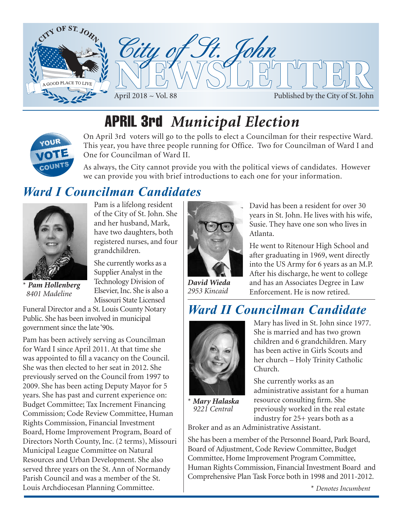

# APRIL 3rd *Municipal Election*



On April 3rd voters will go to the polls to elect a Councilman for their respective Ward. This year, you have three people running for Office. Two for Councilman of Ward I and One for Councilman of Ward II.

As always, the City cannot provide you with the political views of candidates. However we can provide you with brief introductions to each one for your information.

## *Ward I Councilman Candidates*

grandchildren.

Pam is a lifelong resident

and her husband, Mark, have two daughters, both

She currently works as a Supplier Analyst in the Technology Division of Elsevier, Inc. She is also a



**Pam Hollenberg**  *8401 Madeline*

Missouri State Licensed Funeral Director and a St. Louis County Notary Public. She has been involved in municipal government since the late '90s.

Pam has been actively serving as Councilman for Ward I since April 2011. At that time she was appointed to fill a vacancy on the Council. She was then elected to her seat in 2012. She previously served on the Council from 1997 to 2009. She has been acting Deputy Mayor for 5 years. She has past and current experience on: Budget Committee; Tax Increment Financing Commission; Code Review Committee, Human Rights Commission, Financial Investment Board, Home Improvement Program, Board of Directors North County, Inc. (2 terms), Missouri Municipal League Committee on Natural Resources and Urban Development. She also served three years on the St. Ann of Normandy Parish Council and was a member of the St. Louis Archdiocesan Planning Committee.



*David Wieda 2953 Kincaid*

David has been a resident for over 30 years in St. John. He lives with his wife, Susie. They have one son who lives in Atlanta.

He went to Ritenour High School and after graduating in 1969, went directly into the US Army for 6 years as an M.P. After his discharge, he went to college and has an Associates Degree in Law Enforcement. He is now retired.

## *Ward II Councilman Candidate*



\* *Mary Halaska 9221 Central*

Mary has lived in St. John since 1977. She is married and has two grown children and 6 grandchildren. Mary has been active in Girls Scouts and her church – Holy Trinity Catholic Church.

She currently works as an administrative assistant for a human resource consulting firm. She previously worked in the real estate industry for 25+ years both as a

Broker and as an Administrative Assistant.

She has been a member of the Personnel Board, Park Board, Board of Adjustment, Code Review Committee, Budget Committee, Home Improvement Program Committee, Human Rights Commission, Financial Investment Board and Comprehensive Plan Task Force both in 1998 and 2011-2012.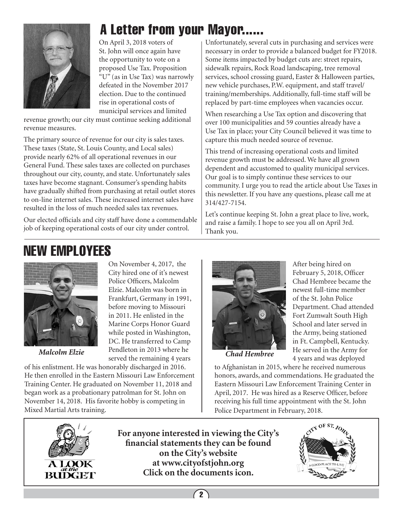

# A Letter from your Mayor......

On April 3, 2018 voters of St. John will once again have the opportunity to vote on a proposed Use Tax. Proposition "U" (as in Use Tax) was narrowly defeated in the November 2017 election. Due to the continued rise in operational costs of municipal services and limited

revenue growth; our city must continue seeking additional revenue measures.

The primary source of revenue for our city is sales taxes. These taxes (State, St. Louis County, and Local sales) provide nearly 62% of all operational revenues in our General Fund. These sales taxes are collected on purchases throughout our city, county, and state. Unfortunately sales taxes have become stagnant. Consumer's spending habits have gradually shifted from purchasing at retail outlet stores to on-line internet sales. These increased internet sales have resulted in the loss of much needed sales tax revenues.

Our elected officials and city staff have done a commendable job of keeping operational costs of our city under control.

He then enrolled in the Eastern Missouri Law Enforcement Training Center. He graduated on November 11, 2018 and began work as a probationary patrolman for St. John on November 14, 2018. His favorite hobby is competing in

Unfortunately, several cuts in purchasing and services were necessary in order to provide a balanced budget for FY2018. Some items impacted by budget cuts are: street repairs, sidewalk repairs, Rock Road landscaping, tree removal services, school crossing guard, Easter & Halloween parties, new vehicle purchases, P.W. equipment, and staff travel/ training/memberships. Additionally, full-time staff will be replaced by part-time employees when vacancies occur.

When researching a Use Tax option and discovering that over 100 municipalities and 59 counties already have a Use Tax in place; your City Council believed it was time to capture this much needed source of revenue.

This trend of increasing operational costs and limited revenue growth must be addressed. We have all grown dependent and accustomed to quality municipal services. Our goal is to simply continue these services to our community. I urge you to read the article about Use Taxes in this newsletter. If you have any questions, please call me at 314/427-7154.

Let's continue keeping St. John a great place to live, work, and raise a family. I hope to see you all on April 3rd. Thank you.

# NEW EMPLOYEES



On November 4, 2017, the City hired one of it's newest Police Officers, Malcolm Elzie. Malcolm was born in Frankfurt, Germany in 1991, before moving to Missouri in 2011. He enlisted in the Marine Corps Honor Guard while posted in Washington, DC. He transferred to Camp Pendleton in 2013 where he Malcolm Elzie Pendleton in 2013 where he **Chad Hembree**<br>served the remaining 4 years of his enlistment. He was honorably discharged in 2016.



After being hired on February 5, 2018, Officer Chad Hembree became the newest full-time member of the St. John Police Department. Chad attended Fort Zumwalt South High School and later served in the Army, being stationed in Ft. Campbell, Kentucky. He served in the Army for 4 years and was deployed

to Afghanistan in 2015, where he received numerous honors, awards, and commendations. He graduated the Eastern Missouri Law Enforcement Training Center in April, 2017. He was hired as a Reserve Officer, before receiving his full time appointment with the St. John Police Department in February, 2018.



Mixed Martial Arts training.

**For anyone interested in viewing the City's financial statements they can be found on the City's website at www.cityofstjohn.org Click on the documents icon.**

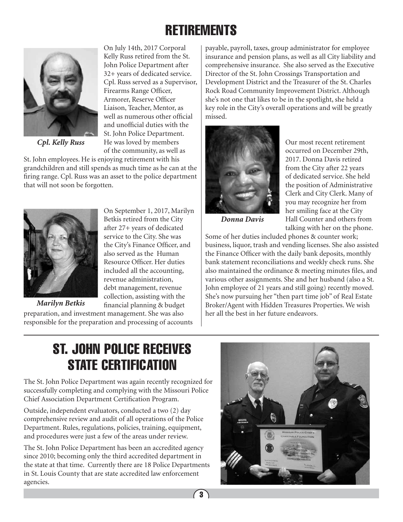# **RETIREMENTS**



*Cpl. Kelly Russ*

On July 14th, 2017 Corporal Kelly Russ retired from the St. John Police Department after 32+ years of dedicated service. Cpl. Russ served as a Supervisor, Firearms Range Officer, Armorer, Reserve Officer Liaison, Teacher, Mentor, as well as numerous other official and unofficial duties with the St. John Police Department. He was loved by members of the community, as well as

On September 1, 2017, Marilyn Betkis retired from the City after 27+ years of dedicated service to the City. She was the City's Finance Officer, and also served as the Human Resource Officer. Her duties included all the accounting, revenue administration, debt management, revenue collection, assisting with the financial planning & budget

St. John employees. He is enjoying retirement with his grandchildren and still spends as much time as he can at the firing range. Cpl. Russ was an asset to the police department that will not soon be forgotten.



*Marilyn Betkis*

preparation, and investment management. She was also responsible for the preparation and processing of accounts

payable, payroll, taxes, group administrator for employee insurance and pension plans, as well as all City liability and comprehensive insurance. She also served as the Executive Director of the St. John Crossings Transportation and Development District and the Treasurer of the St. Charles Rock Road Community Improvement District. Although she's not one that likes to be in the spotlight, she held a key role in the City's overall operations and will be greatly missed.



Our most recent retirement occurred on December 29th, 2017. Donna Davis retired from the City after 22 years of dedicated service. She held the position of Administrative Clerk and City Clerk. Many of you may recognize her from her smiling face at the City Hall Counter and others from talking with her on the phone.

*Donna Davis*

Some of her duties included phones & counter work; business, liquor, trash and vending licenses. She also assisted the Finance Officer with the daily bank deposits, monthly bank statement reconciliations and weekly check runs. She also maintained the ordinance & meeting minutes files, and various other assignments. She and her husband (also a St. John employee of 21 years and still going) recently moved. She's now pursuing her "then part time job" of Real Estate Broker/Agent with Hidden Treasures Properties. We wish her all the best in her future endeavors.

# ST. JOHN POLICE RECEIVES STATE CERTIFICATION

The St. John Police Department was again recently recognized for successfully completing and complying with the Missouri Police Chief Association Department Certification Program.

Outside, independent evaluators, conducted a two (2) day comprehensive review and audit of all operations of the Police Department. Rules, regulations, policies, training, equipment, and procedures were just a few of the areas under review.

The St. John Police Department has been an accredited agency since 2010; becoming only the third accredited department in the state at that time. Currently there are 18 Police Departments in St. Louis County that are state accredited law enforcement agencies.

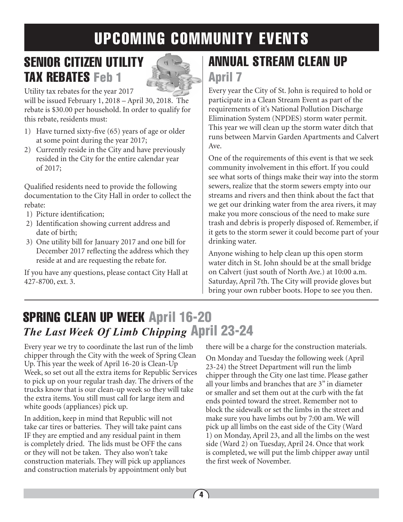# UPCOMING COMMUNITY EVENTS

# SENIOR CITIZEN UTILITY TAX REBATES Feb 1



Utility tax rebates for the year 2017

will be issued February 1, 2018 – April 30, 2018. The rebate is \$30.00 per household. In order to qualify for this rebate, residents must:

- 1) Have turned sixty-five (65) years of age or older at some point during the year 2017;
- 2) Currently reside in the City and have previously resided in the City for the entire calendar year of 2017;

Qualified residents need to provide the following documentation to the City Hall in order to collect the rebate:

- 1) Picture identification;
- 2) Identification showing current address and date of birth;
- 3) One utility bill for January 2017 and one bill for December 2017 reflecting the address which they reside at and are requesting the rebate for.

If you have any questions, please contact City Hall at 427-8700, ext. 3.

# ANNUAL STREAM CLEAN UP April 7

Every year the City of St. John is required to hold or participate in a Clean Stream Event as part of the requirements of it's National Pollution Discharge Elimination System (NPDES) storm water permit. This year we will clean up the storm water ditch that runs between Marvin Garden Apartments and Calvert Ave.

One of the requirements of this event is that we seek community involvement in this effort. If you could see what sorts of things make their way into the storm sewers, realize that the storm sewers empty into our streams and rivers and then think about the fact that we get our drinking water from the area rivers, it may make you more conscious of the need to make sure trash and debris is properly disposed of. Remember, if it gets to the storm sewer it could become part of your drinking water.

Anyone wishing to help clean up this open storm water ditch in St. John should be at the small bridge on Calvert (just south of North Ave.) at 10:00 a.m. Saturday, April 7th. The City will provide gloves but bring your own rubber boots. Hope to see you then.

# SPRING CLEAN UP WEEK April 16-20 *The Last Week Of Limb Chipping* April 23-24

Every year we try to coordinate the last run of the limb chipper through the City with the week of Spring Clean Up. This year the week of April 16-20 is Clean-Up Week, so set out all the extra items for Republic Services to pick up on your regular trash day. The drivers of the trucks know that is our clean-up week so they will take the extra items. You still must call for large item and white goods (appliances) pick up.

In addition, keep in mind that Republic will not take car tires or batteries. They will take paint cans IF they are emptied and any residual paint in them is completely dried. The lids must be OFF the cans or they will not be taken. They also won't take construction materials. They will pick up appliances and construction materials by appointment only but there will be a charge for the construction materials.

On Monday and Tuesday the following week (April 23-24) the Street Department will run the limb chipper through the City one last time. Please gather all your limbs and branches that are 3" in diameter or smaller and set them out at the curb with the fat ends pointed toward the street. Remember not to block the sidewalk or set the limbs in the street and make sure you have limbs out by 7:00 am. We will pick up all limbs on the east side of the City (Ward 1) on Monday, April 23, and all the limbs on the west side (Ward 2) on Tuesday, April 24. Once that work is completed, we will put the limb chipper away until the first week of November.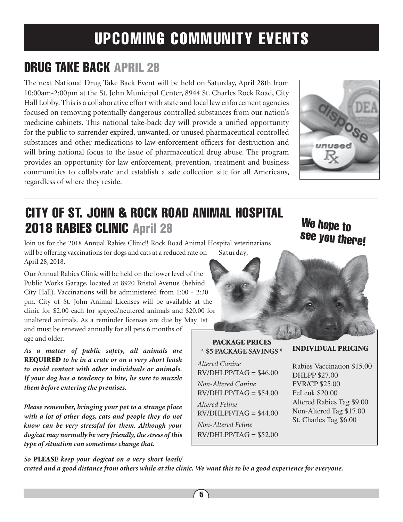# UPCOMING COMMUNITY EVENTS

# DRUG TAKE BACK APRIL 28

The next National Drug Take Back Event will be held on Saturday, April 28th from 10:00am-2:00pm at the St. John Municipal Center, 8944 St. Charles Rock Road, City Hall Lobby. This is a collaborative effort with state and local law enforcement agencies focused on removing potentially dangerous controlled substances from our nation's medicine cabinets. This national take-back day will provide a unified opportunity for the public to surrender expired, unwanted, or unused pharmaceutical controlled substances and other medications to law enforcement officers for destruction and will bring national focus to the issue of pharmaceutical drug abuse. The program provides an opportunity for law enforcement, prevention, treatment and business communities to collaborate and establish a safe collection site for all Americans, regardless of where they reside.



# CITY OF ST. JOHN & ROCK ROAD ANIMAL HOSPITAL 2018 RABIES CLINIC April 28

Join us for the 2018 Annual Rabies Clinic!! Rock Road Animal Hospital veterinarians will be offering vaccinations for dogs and cats at a reduced rate on Saturday, April 28, 2018.

Our Annual Rabies Clinic will be held on the lower level of the Public Works Garage, located at 8920 Bristol Avenue (behind City Hall). Vaccinations will be administered from 1:00 - 2:30 pm. City of St. John Animal Licenses will be available at the clinic for \$2.00 each for spayed/neutered animals and \$20.00 for unaltered animals. As a reminder licenses are due by May 1st and must be renewed annually for all pets 6 months of age and older.

*As a matter of public safety, all animals are*  REQUIRED *to be in a crate or on a very short leash to avoid contact with other individuals or animals. If your dog has a tendency to bite, be sure to muzzle them before entering the premises.*

*Please remember, bringing your pet to a strange place with a lot of other dogs, cats and people they do not know can be very stressful for them. Although your dog/cat may normally be very friendly, the stress of this type of situation can sometimes change that.* 

# PACKAGE PRICES

**\* \$5 PACKAGE SAVINGS \*** *Altered Canine*  $RV/DHI$ ,  $PP/TAG = $46.00$ *Non-Altered Canine*  $RV/DHLPP/TAG = $54.00$ *Altered Feline*  $RV/DHLPP/TAG = $44.00$ *Non-Altered Feline*  $RV/DHLPP/TAG = $52.00$ 

# We hope to see you there!

#### INDIVIDUAL PRICING

Rabies Vaccination \$15.00 DHLPP \$27.00 FVR/CP \$25.00 FeLeuk \$20.00 Altered Rabies Tag \$9.00 Non-Altered Tag \$17.00 St. Charles Tag \$6.00

*So* PLEASE *keep your dog/cat on a very short leash/ crated and a good distance from others while at the clinic. We want this to be a good experience for everyone.*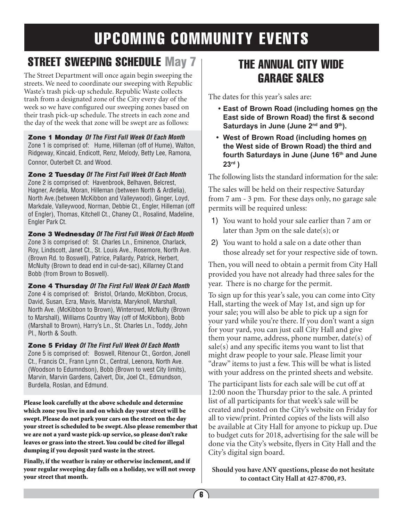# UPCOMING COMMUNITY EVENTS

# STREET SWEEPING SCHEDULE May 7

The Street Department will once again begin sweeping the streets. We need to coordinate our sweeping with Republic Waste's trash pick-up schedule. Republic Waste collects trash from a designated zone of the City every day of the week so we have configured our sweeping zones based on their trash pick-up schedule. The streets in each zone and the day of the week that zone will be swept are as follows:

Zone 1 Monday *Of The First Full Week Of Each Month* Zone 1 is comprised of: Hume, Hilleman (off of Hume), Walton, Ridgeway, Kincaid, Endicott, Renz, Melody, Betty Lee, Ramona, Connor, Outerbelt Ct. and Wood.

Zone 2 Tuesday *Of The First Full Week Of Each Month* Zone 2 is comprised of: Havenbrook, Belhaven, Belcrest, Hagner, Ardelia, Moran, Hilleman (between North & Ardlelia), North Ave.(between McKibbon and Valleywood), Ginger, Loyd, Markdale, Valleywood, Norman, Debbie Ct., Engler, Hilleman (off of Engler), Thomas, Kitchell Ct., Chaney Ct., Rosalind, Madeline, Engler Park Ct.

Zone 3 Wednesday *Of The First Full Week Of Each Month* Zone 3 is comprised of: St. Charles Ln., Eminence, Charlack, Roy, Lindscott, Janet Ct., St. Louis Ave., Rosemore, North Ave. (Brown Rd. to Boswell), Patrice, Pallardy, Patrick, Herbert, McNulty (Brown to dead end in cul-de-sac), Killarney Ct.and Bobb (from Brown to Boswell).

Zone 4 Thursday *Of The First Full Week Of Each Month* Zone 4 is comprised of: Bristol, Orlando, McKibbon, Crocus, David, Susan, Ezra, Mavis, Marvista, Maryknoll, Marshall, North Ave. (McKibbon to Brown), Winterowd, McNulty (Brown to Marshall), Williams Country Way (off of McKibbon), Bobb (Marshall to Brown), Harry's Ln., St. Charles Ln., Toddy, John Pl., North & South.

#### Zone 5 Friday *Of The First Full Week Of Each Month*

Zone 5 is comprised of: Boswell, Ritenour Ct., Gordon, Jonell Ct., Francis Ct., Frann Lynn Ct., Central, Leenora, North Ave. (Woodson to Edumndson), Bobb (Brown to west City limits), Marvin, Marvin Gardens, Calvert, Dix, Joel Ct., Edmundson, Burdella, Roslan, and Edmund.

Please look carefully at the above schedule and determine which zone you live in and on which day your street will be swept. Please do not park your cars on the street on the day your street is scheduled to be swept. Also please remember that we are not a yard waste pick-up service, so please don't rake leaves or grass into the street. You could be cited for illegal dumping if you deposit yard waste in the street.

Finally, if the weather is rainy or otherwise inclement, and if your regular sweeping day falls on a holiday, we will not sweep your street that month.

## THE ANNUAL CITY WIDE GARAGE SALES

The dates for this year's sales are:

- **• East of Brown Road (including homes on the East side of Brown Road) the first & second**  Saturdays in June (June 2<sup>nd</sup> and 9<sup>th</sup>).
- **• West of Brown Road (including homes on the West side of Brown Road) the third and**  fourth Saturdays in June (June 16<sup>th</sup> and June **23rd )**

The following lists the standard information for the sale:

The sales will be held on their respective Saturday from 7 am - 3 pm. For these days only, no garage sale permits will be required unless:

- 1) You want to hold your sale earlier than 7 am or later than 3pm on the sale date(s); or
- 2) You want to hold a sale on a date other than those already set for your respective side of town.

Then, you will need to obtain a permit from City Hall provided you have not already had three sales for the year. There is no charge for the permit.

To sign up for this year's sale, you can come into City Hall, starting the week of May 1st, and sign up for your sale; you will also be able to pick up a sign for your yard while you're there. If you don't want a sign for your yard, you can just call City Hall and give them your name, address, phone number, date(s) of sale(s) and any specific items you want to list that might draw people to your sale. Please limit your "draw" items to just a few. This will be what is listed with your address on the printed sheets and website.

The participant lists for each sale will be cut off at 12:00 noon the Thursday prior to the sale. A printed list of all participants for that week's sale will be created and posted on the City's website on Friday for all to view/print. Printed copies of the lists will also be available at City Hall for anyone to pickup up. Due to budget cuts for 2018, advertising for the sale will be done via the City's website, flyers in City Hall and the City's digital sign board.

**Should you have ANY questions, please do not hesitate to contact City Hall at 427-8700, #3.**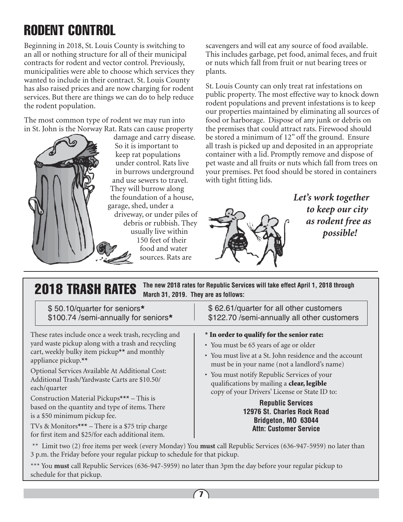# RODENT CONTROL

Beginning in 2018, St. Louis County is switching to an all or nothing structure for all of their municipal contracts for rodent and vector control. Previously, municipalities were able to choose which services they wanted to include in their contract. St. Louis County has also raised prices and are now charging for rodent services. But there are things we can do to help reduce the rodent population.

The most common type of rodent we may run into in St. John is the Norway Rat. Rats can cause property



based on the quantity and type of items. There

TVs & Monitors\*\*\* – There is a \$75 trip charge for first item and \$25/for each additional item.

is a \$50 minimum pickup fee.

So it is important to keep rat populations under control. Rats live in burrows underground and use sewers to travel. They will burrow along the foundation of a house, garage, shed, under a driveway, or under piles of debris or rubbish. They usually live within 150 feet of their food and water sources. Rats are

scavengers and will eat any source of food available. This includes garbage, pet food, animal feces, and fruit or nuts which fall from fruit or nut bearing trees or plants.

St. Louis County can only treat rat infestations on public property. The most effective way to knock down rodent populations and prevent infestations is to keep our properties maintained by eliminating all sources of food or harborage. Dispose of any junk or debris on the premises that could attract rats. Firewood should be stored a minimum of 12" off the ground. Ensure all trash is picked up and deposited in an appropriate container with a lid. Promptly remove and dispose of pet waste and all fruits or nuts which fall from trees on your premises. Pet food should be stored in containers with tight fitting lids.



*Let's work together to keep our city as rodent free as possible!*

| The new 2018 rates for Republic Services will take effect April 1, 2018 through<br><b>2018 TRASH RATES</b><br>March 31, 2019. They are as follows:                                                                                                                                    |                                                                                                                                                                                                                                                |
|---------------------------------------------------------------------------------------------------------------------------------------------------------------------------------------------------------------------------------------------------------------------------------------|------------------------------------------------------------------------------------------------------------------------------------------------------------------------------------------------------------------------------------------------|
| \$50.10/quarter for seniors*<br>\$100.74 /semi-annually for seniors*                                                                                                                                                                                                                  | \$62.61/quarter for all other customers<br>\$122.70 /semi-annually all other customers                                                                                                                                                         |
| These rates include once a week trash, recycling and<br>yard waste pickup along with a trash and recycling<br>cart, weekly bulky item pickup** and monthly<br>appliance pickup.**<br>Optional Services Available At Additional Cost:<br>Additional Trash/Yardwaste Carts are \$10.50/ | * In order to qualify for the senior rate:<br>• You must be 65 years of age or older<br>• You must live at a St. John residence and the account<br>must be in your name (not a landlord's name)<br>• You must notify Republic Services of your |
| each/quarter<br>Construction Material Pickups*** – This is                                                                                                                                                                                                                            | qualifications by mailing a <b>clear, legible</b><br>copy of your Drivers' License or State ID to:<br>Donublic Comisso                                                                                                                         |

#### **Republic Services 12976 St. Charles Rock Road Bridgeton, MO 63044 Attn: Customer Service**

 \*\* Limit two (2) free items per week (every Monday) You **must** call Republic Services (636-947-5959) no later than 3 p.m. the Friday before your regular pickup to schedule for that pickup.

\*\*\* You **must** call Republic Services (636-947-5959) no later than 3pm the day before your regular pickup to schedule for that pickup.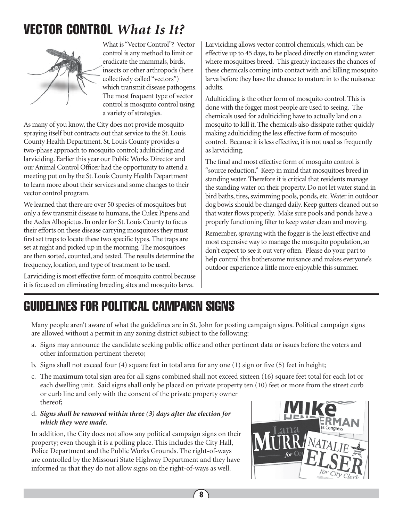# VECTOR CONTROL *What Is It?*



What is "Vector Control"? Vector control is any method to limit or eradicate the mammals, birds, insects or other arthropods (here collectively called "vectors") which transmit disease pathogens. The most frequent type of vector control is mosquito control using a variety of strategies.

As many of you know, the City does not provide mosquito spraying itself but contracts out that service to the St. Louis County Health Department. St. Louis County provides a two-phase approach to mosquito control; adulticiding and larviciding. Earlier this year our Public Works Director and our Animal Control Officer had the opportunity to attend a meeting put on by the St. Louis County Health Department to learn more about their services and some changes to their vector control program.

We learned that there are over 50 species of mosquitoes but only a few transmit disease to humans, the Culex Pipens and the Aedes Albopictus. In order for St. Louis County to focus their efforts on these disease carrying mosquitoes they must first set traps to locate these two specific types. The traps are set at night and picked up in the morning. The mosquitoes are then sorted, counted, and tested. The results determine the frequency, location, and type of treatment to be used.

Larviciding is most effective form of mosquito control because it is focused on eliminating breeding sites and mosquito larva.

Larviciding allows vector control chemicals, which can be effective up to 45 days, to be placed directly on standing water where mosquitoes breed. This greatly increases the chances of these chemicals coming into contact with and killing mosquito larva before they have the chance to mature in to the nuisance adults.

Adulticiding is the other form of mosquito control. This is done with the fogger most people are used to seeing. The chemicals used for adulticiding have to actually land on a mosquito to kill it. The chemicals also dissipate rather quickly making adulticiding the less effective form of mosquito control. Because it is less effective, it is not used as frequently as larviciding.

The final and most effective form of mosquito control is "source reduction." Keep in mind that mosquitoes breed in standing water. Therefore it is critical that residents manage the standing water on their property. Do not let water stand in bird baths, tires, swimming pools, ponds, etc. Water in outdoor dog bowls should be changed daily. Keep gutters cleaned out so that water flows properly. Make sure pools and ponds have a properly functioning filter to keep water clean and moving.

Remember, spraying with the fogger is the least effective and most expensive way to manage the mosquito population, so don't expect to see it out very often. Please do your part to help control this bothersome nuisance and makes everyone's outdoor experience a little more enjoyable this summer.

# GUIDELINES FOR POLITICAL CAMPAIGN SIGNS

Many people aren't aware of what the guidelines are in St. John for posting campaign signs. Political campaign signs are allowed without a permit in any zoning district subject to the following:

- a. Signs may announce the candidate seeking public office and other pertinent data or issues before the voters and other information pertinent thereto;
- b. Signs shall not exceed four (4) square feet in total area for any one (1) sign or five (5) feet in height;
- c. The maximum total sign area for all signs combined shall not exceed sixteen (16) square feet total for each lot or each dwelling unit. Said signs shall only be placed on private property ten (10) feet or more from the street curb or curb line and only with the consent of the private property owner thereof;
- d. *Signs shall be removed within three (3) days after the election for which they were made*.

In addition, the City does not allow any political campaign signs on their property; even though it is a polling place. This includes the City Hall, Police Department and the Public Works Grounds. The right-of-ways are controlled by the Missouri State Highway Department and they have informed us that they do not allow signs on the right-of-ways as well.

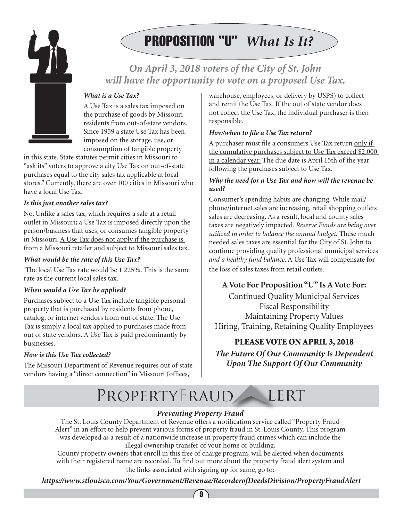



## *On April 3, 2018 voters of the City of St. John will have the opportunity to vote on a proposed Use Tax.*

#### *What is a Use Tax?*

A Use Tax is a sales tax imposed on the purchase of goods by Missouri residents from out-of-state vendors. Since 1959 a state Use Tax has been imposed on the storage, use, or consumption of tangible property

in this state. State statutes permit cities in Missouri to "ask its" voters to approve a city Use Tax on out-of-state purchases equal to the city sales tax applicable at local stores." Currently, there are over 100 cities in Missouri who have a local Use Tax.

#### *Is this just another sales tax?*

No. Unlike a sales tax, which requires a sale at a retail outlet in Missouri; a Use Tax is imposed directly upon the person/business that uses, or consumes tangible property in Missouri. A Use Tax does not apply if the purchase is from a Missouri retailer and subject to Missouri sales tax.

#### *What would be the rate of this Use Tax?*

 The local Use Tax rate would be 1.225%. This is the same rate as the current local sales tax.

#### *When would a Use Tax be applied?*

Purchases subject to a Use Tax include tangible personal property that is purchased by residents from phone, catalog, or internet vendors from out of state. The Use Tax is simply a local tax applied to purchases made from out of state vendors. A Use Tax is paid predominantly by businesses.

#### *How is this Use Tax collected?*

The Missouri Department of Revenue requires out of state vendors having a "direct connection" in Missouri (offices,

warehouse, employees, or delivery by USPS) to collect and remit the Use Tax. If the out of state vendor does not collect the Use Tax, the individual purchaser is then responsible.

#### *How/when to file a Use Tax return?*

A purchaser must file a consumers Use Tax return only if the cumulative purchases subject to Use Tax exceed \$2,000 in a calendar year. The due date is April 15th of the year following the purchases subject to Use Tax.

#### *Why the need for a Use Tax and how will the revenue be used?*

Consumer's spending habits are changing. While mail/ phone/internet sales are increasing, retail shopping outlets sales are decreasing. As a result, local and county sales taxes are negatively impacted. *Reserve Funds are being over utilized in order to balance the annual budget.* These much needed sales taxes are essential for the City of St. John to continue providing quality professional municipal services *and a healthy fund balance*. A Use Tax will compensate for the loss of sales taxes from retail outlets.

#### **A Vote For Proposition "U" Is A Vote For:**

Continued Quality Municipal Services Fiscal Responsibility Maintaining Property Values Hiring, Training, Retaining Quality Employees

#### PLEASE VOTE ON APRIL 3, 2018

*The Future Of Our Community Is Dependent Upon The Support Of Our Community*

#### PROPERTYFRAUD LERT

#### *Preventing Property Fraud*

The St. Louis County Department of Revenue offers a notification service called "Property Fraud Alert" in an effort to help prevent various forms of property fraud in St. Louis County. This program was developed as a result of a nationwide increase in property fraud crimes which can include the illegal ownership transfer of your home or building.

County property owners that enroll in this free of charge program, will be alerted when documents with their registered name are recorded. To find out more about the property fraud alert system and the links associated with signing up for same, go to:

*https://www.stlouisco.com/YourGovernment/Revenue/RecorderofDeedsDivision/PropertyFraudAlert*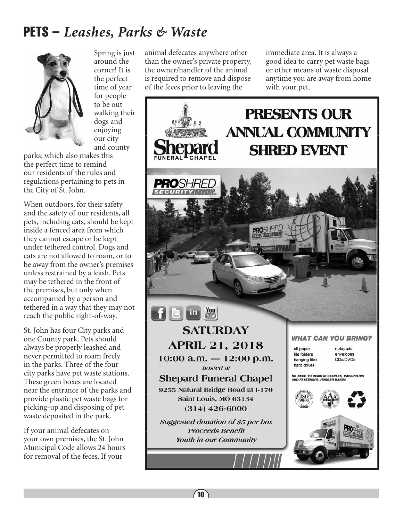# PETS – *Leashes, Parks & Waste*



Spring is just around the corner! It is the perfect time of year for people to be out walking their dogs and enjoying our city and county

parks; which also makes this the perfect time to remind our residents of the rules and regulations pertaining to pets in the City of St. John.

When outdoors, for their safety and the safety of our residents, all pets, including cats, should be kept inside a fenced area from which they cannot escape or be kept under tethered control. Dogs and cats are not allowed to roam, or to be away from the owner's premises unless restrained by a leash. Pets may be tethered in the front of the premises, but only when accompanied by a person and tethered in a way that they may not reach the public right-of-way.

St. John has four City parks and one County park. Pets should always be properly leashed and never permitted to roam freely in the parks. Three of the four city parks have pet waste stations. These green boxes are located near the entrance of the parks and provide plastic pet waste bags for picking-up and disposing of pet waste deposited in the park.

If your animal defecates on your own premises, the St. John Municipal Code allows 24 hours for removal of the feces. If your

animal defecates anywhere other than the owner's private property, the owner/handler of the animal is required to remove and dispose of the feces prior to leaving the

immediate area. It is always a good idea to carry pet waste bags or other means of waste disposal anytime you are away from home with your pet.

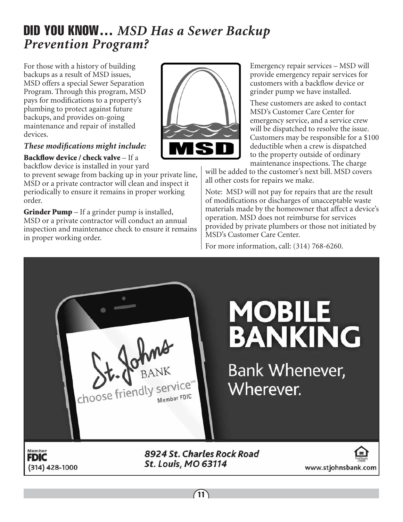## DID YOU KNOW… *MSD Has a Sewer Backup Prevention Program?*

For those with a history of building backups as a result of MSD issues, MSD offers a special Sewer Separation Program. Through this program, MSD pays for modifications to a property's plumbing to protect against future backups, and provides on-going maintenance and repair of installed devices.

#### *These modifications might include:*

Backflow device / check valve – If a

backflow device is installed in your yard

to prevent sewage from backing up in your private line, MSD or a private contractor will clean and inspect it periodically to ensure it remains in proper working order.

**Grinder Pump**  $-$  If a grinder pump is installed, MSD or a private contractor will conduct an annual inspection and maintenance check to ensure it remains in proper working order.



Emergency repair services – MSD will provide emergency repair services for customers with a backflow device or grinder pump we have installed.

These customers are asked to contact MSD's Customer Care Center for emergency service, and a service crew will be dispatched to resolve the issue. Customers may be responsible for a \$100 deductible when a crew is dispatched to the property outside of ordinary maintenance inspections. The charge

will be added to the customer's next bill. MSD covers all other costs for repairs we make.

Note: MSD will not pay for repairs that are the result of modifications or discharges of unacceptable waste materials made by the homeowner that affect a device's operation. MSD does not reimburse for services provided by private plumbers or those not initiated by MSD's Customer Care Center.

For more information, call: (314) 768-6260.

choose friendly service"

# **MOBILE BANKING**

**Bank Whenever,** Wherever.

Member **FDIC** (314) 428-1000 8924 St. Charles Rock Road **St. Louis, MO 63114**